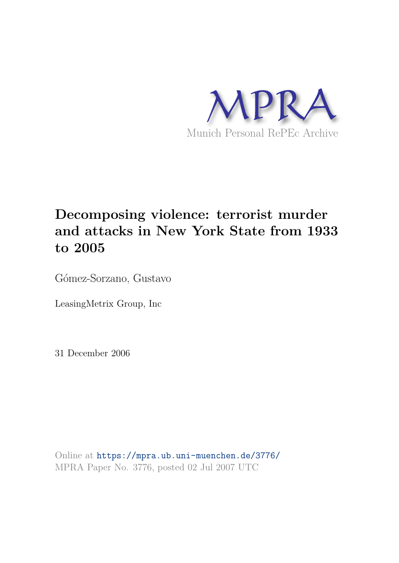

# **Decomposing violence: terrorist murder and attacks in New York State from 1933 to 2005**

Gómez-Sorzano, Gustavo

LeasingMetrix Group, Inc

31 December 2006

Online at https://mpra.ub.uni-muenchen.de/3776/ MPRA Paper No. 3776, posted 02 Jul 2007 UTC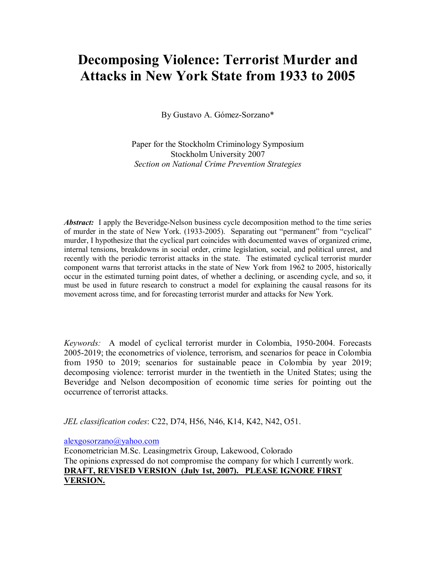## **Decomposing Violence: Terrorist Murder and Attacks in New York State from 1933 to 2005**

By Gustavo A. Gómez-Sorzano\*

Paper for the Stockholm Criminology Symposium Stockholm University 2007 *Section on National Crime Prevention Strategies* 

*Abstract:* I apply the Beveridge-Nelson business cycle decomposition method to the time series of murder in the state of New York. (1933-2005). Separating out "permanent" from "cyclical" murder, I hypothesize that the cyclical part coincides with documented waves of organized crime, internal tensions, breakdowns in social order, crime legislation, social, and political unrest, and recently with the periodic terrorist attacks in the state. The estimated cyclical terrorist murder component warns that terrorist attacks in the state of New York from 1962 to 2005, historically occur in the estimated turning point dates, of whether a declining, or ascending cycle, and so, it must be used in future research to construct a model for explaining the causal reasons for its movement across time, and for forecasting terrorist murder and attacks for New York.

*Keywords:* A model of cyclical terrorist murder in Colombia, 1950-2004. Forecasts 2005-2019; the econometrics of violence, terrorism, and scenarios for peace in Colombia from 1950 to 2019; scenarios for sustainable peace in Colombia by year 2019; decomposing violence: terrorist murder in the twentieth in the United States; using the Beveridge and Nelson decomposition of economic time series for pointing out the occurrence of terrorist attacks.

*JEL classification codes*: C22, D74, H56, N46, K14, K42, N42, O51.

alexgosorzano@yahoo.com

Econometrician M.Sc. Leasingmetrix Group, Lakewood, Colorado The opinions expressed do not compromise the company for which I currently work. **DRAFT, REVISED VERSION (July 1st, 2007). PLEASE IGNORE FIRST VERSION.**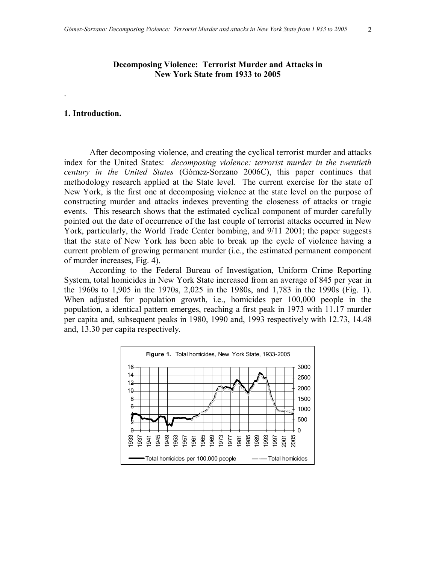## **Decomposing Violence: Terrorist Murder and Attacks in New York State from 1933 to 2005**

## **1. Introduction.**

.

 After decomposing violence, and creating the cyclical terrorist murder and attacks index for the United States: *decomposing violence: terrorist murder in the twentieth century in the United States* (Gómez-Sorzano 2006C), this paper continues that methodology research applied at the State level. The current exercise for the state of New York, is the first one at decomposing violence at the state level on the purpose of constructing murder and attacks indexes preventing the closeness of attacks or tragic events. This research shows that the estimated cyclical component of murder carefully pointed out the date of occurrence of the last couple of terrorist attacks occurred in New York, particularly, the World Trade Center bombing, and 9/11 2001; the paper suggests that the state of New York has been able to break up the cycle of violence having a current problem of growing permanent murder (i.e., the estimated permanent component of murder increases, Fig. 4).

 According to the Federal Bureau of Investigation, Uniform Crime Reporting System, total homicides in New York State increased from an average of 845 per year in the 1960s to 1,905 in the 1970s, 2,025 in the 1980s, and 1,783 in the 1990s (Fig. 1). When adjusted for population growth, i.e., homicides per 100,000 people in the population, a identical pattern emerges, reaching a first peak in 1973 with 11.17 murder per capita and, subsequent peaks in 1980, 1990 and, 1993 respectively with 12.73, 14.48 and, 13.30 per capita respectively.

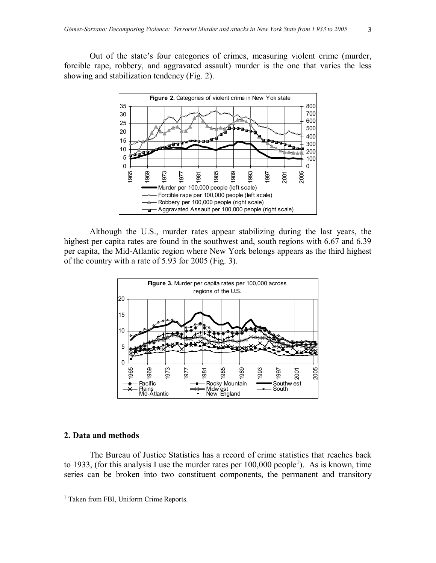Out of the state's four categories of crimes, measuring violent crime (murder, forcible rape, robbery, and aggravated assault) murder is the one that varies the less showing and stabilization tendency (Fig. 2).



 Although the U.S., murder rates appear stabilizing during the last years, the highest per capita rates are found in the southwest and, south regions with 6.67 and 6.39 per capita, the Mid-Atlantic region where New York belongs appears as the third highest of the country with a rate of 5.93 for 2005 (Fig. 3).



#### **2. Data and methods**

The Bureau of Justice Statistics has a record of crime statistics that reaches back to 1933, (for this analysis I use the murder rates per  $100,000$  people<sup>1</sup>). As is known, time series can be broken into two constituent components, the permanent and transitory

<sup>&</sup>lt;sup>1</sup> Taken from FBI, Uniform Crime Reports.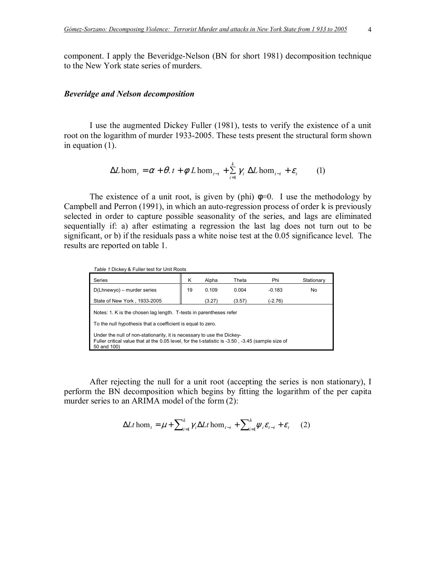component. I apply the Beveridge-Nelson (BN for short 1981) decomposition technique to the New York state series of murders.

### *Beveridge and Nelson decomposition*

I use the augmented Dickey Fuller (1981), tests to verify the existence of a unit root on the logarithm of murder 1933-2005. These tests present the structural form shown in equation (1).

$$
\Delta L \hom_t = \alpha + \theta \cdot t + \phi \ L \hom_{t-i} + \sum_{i=1}^k \gamma_i \ \Delta L \hom_{t-i} + \varepsilon_t \tag{1}
$$

The existence of a unit root, is given by (phi)  $\phi=0$ . I use the methodology by Campbell and Perron (1991), in which an auto-regression process of order k is previously selected in order to capture possible seasonality of the series, and lags are eliminated sequentially if: a) after estimating a regression the last lag does not turn out to be significant, or b) if the residuals pass a white noise test at the 0.05 significance level. The results are reported on table 1.

| Table 1 Dickey & Fuller test for Unit Roots<br>Series                                                                                                                                      | ĸ  | Alpha  | Theta  | Phi       | Stationary |
|--------------------------------------------------------------------------------------------------------------------------------------------------------------------------------------------|----|--------|--------|-----------|------------|
| D(Lhnewyo) - murder series                                                                                                                                                                 | 19 | 0.109  | 0.004  | $-0.183$  | No         |
| State of New York, 1933-2005                                                                                                                                                               |    | (3.27) | (3.57) | $(-2.76)$ |            |
| Notes: 1. K is the chosen lag length. T-tests in parentheses refer<br>To the null hypothesis that a coefficient is equal to zero.                                                          |    |        |        |           |            |
| Under the null of non-stationarity, it is necessary to use the Dickey-<br>Fuller critical value that at the 0.05 level, for the t-statistic is -3.50, -3.45 (sample size of<br>50 and 100) |    |        |        |           |            |

After rejecting the null for a unit root (accepting the series is non stationary), I perform the BN decomposition which begins by fitting the logarithm of the per capita murder series to an ARIMA model of the form (2):

$$
\Delta Lt \text{ hom}_{t} = \mu + \sum_{i=1}^{k} \gamma_{i} \Delta Lt \text{ hom}_{t-i} + \sum_{i=1}^{h} \psi_{i} \varepsilon_{t-i} + \varepsilon_{t} \qquad (2)
$$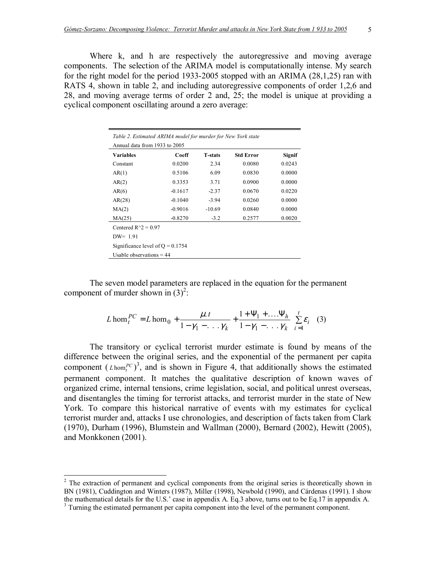Where k, and h are respectively the autoregressive and moving average components. The selection of the ARIMA model is computationally intense. My search for the right model for the period 1933-2005 stopped with an ARIMA (28,1,25) ran with RATS 4, shown in table 2, and including autoregressive components of order 1,2,6 and 28, and moving average terms of order 2 and, 25; the model is unique at providing a cyclical component oscillating around a zero average:

| Table 2. Estimated ARIMA model for murder for New York state |           |                |                  |               |  |
|--------------------------------------------------------------|-----------|----------------|------------------|---------------|--|
| Annual data from 1933 to 2005                                |           |                |                  |               |  |
| <b>Variables</b>                                             | Coeff     | <b>T-stats</b> | <b>Std Error</b> | <b>Signif</b> |  |
| Constant                                                     | 0.0200    | 2.34           | 0.0080           | 0.0243        |  |
| AR(1)                                                        | 0.5106    | 6.09           | 0.0830           | 0.0000        |  |
| AR(2)                                                        | 0.3353    | 3.71           | 0.0900           | 0.0000        |  |
| AR(6)                                                        | $-0.1617$ | $-2.37$        | 0.0670           | 0.0220        |  |
| AR(28)                                                       | $-0.1040$ | $-3.94$        | 0.0260           | 0.0000        |  |
| MA(2)                                                        | $-0.9016$ | $-10.69$       | 0.0840           | 0.0000        |  |
| MA(25)                                                       | $-0.8270$ | $-3.2$         | 0.2577           | 0.0020        |  |
| Centered $R^2 = 0.97$                                        |           |                |                  |               |  |
| $DW = 1.91$                                                  |           |                |                  |               |  |
| Significance level of $Q = 0.1754$                           |           |                |                  |               |  |
| Usable observations $=$ 44                                   |           |                |                  |               |  |

The seven model parameters are replaced in the equation for the permanent component of murder shown in  $(3)^2$ :

$$
L \text{ hom}_t^{PC} = L \text{ hom}_0 + \frac{\mu \cdot t}{1 - \gamma_1 - \ldots \gamma_k} + \frac{1 + \Psi_1 + \ldots + \Psi_h}{1 - \gamma_1 - \ldots \gamma_k} \sum_{i=1}^t \varepsilon_i \tag{3}
$$

The transitory or cyclical terrorist murder estimate is found by means of the difference between the original series, and the exponential of the permanent per capita component  $(L \hom_t^{PC})^3$ , and is shown in Figure 4, that additionally shows the estimated permanent component. It matches the qualitative description of known waves of organized crime, internal tensions, crime legislation, social, and political unrest overseas, and disentangles the timing for terrorist attacks, and terrorist murder in the state of New York. To compare this historical narrative of events with my estimates for cyclical terrorist murder and, attacks I use chronologies, and description of facts taken from Clark (1970), Durham (1996), Blumstein and Wallman (2000), Bernard (2002), Hewitt (2005), and Monkkonen (2001).

<sup>&</sup>lt;sup>2</sup> The extraction of permanent and cyclical components from the original series is theoretically shown in BN (1981), Cuddington and Winters (1987), Miller (1998), Newbold (1990), and Cárdenas (1991). I show the mathematical details for the U.S.<sup> $\cdot$ </sup> case in appendix A. Eq.3 above, turns out to be Eq.17 in appendix A.

<sup>&</sup>lt;sup>3</sup> Turning the estimated permanent per capita component into the level of the permanent component.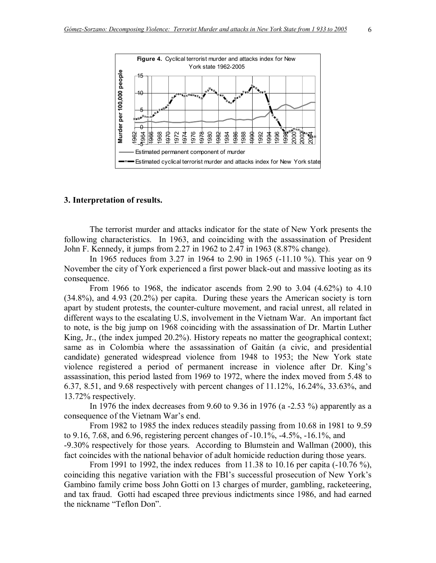

#### **3. Interpretation of results.**

 The terrorist murder and attacks indicator for the state of New York presents the following characteristics. In 1963, and coinciding with the assassination of President John F. Kennedy, it jumps from 2.27 in 1962 to 2.47 in 1963 (8.87% change).

 In 1965 reduces from 3.27 in 1964 to 2.90 in 1965 (-11.10 %). This year on 9 November the city of York experienced a first power black-out and massive looting as its consequence.

 From 1966 to 1968, the indicator ascends from 2.90 to 3.04 (4.62%) to 4.10 (34.8%), and 4.93 (20.2%) per capita. During these years the American society is torn apart by student protests, the counter-culture movement, and racial unrest, all related in different ways to the escalating U.S, involvement in the Vietnam War. An important fact to note, is the big jump on 1968 coinciding with the assassination of Dr. Martin Luther King, Jr., (the index jumped 20.2%). History repeats no matter the geographical context; same as in Colombia where the assassination of Gaitán (a civic, and presidential candidate) generated widespread violence from 1948 to 1953; the New York state violence registered a period of permanent increase in violence after Dr. King's assassination, this period lasted from 1969 to 1972, where the index moved from 5.48 to 6.37, 8.51, and 9.68 respectively with percent changes of 11.12%, 16.24%, 33.63%, and 13.72% respectively.

 In 1976 the index decreases from 9.60 to 9.36 in 1976 (a -2.53 %) apparently as a consequence of the Vietnam War's end.

 From 1982 to 1985 the index reduces steadily passing from 10.68 in 1981 to 9.59 to 9.16, 7.68, and 6.96, registering percent changes of -10.1%, -4.5%, -16.1%, and -9.30% respectively for those years. According to Blumstein and Wallman (2000), this fact coincides with the national behavior of adult homicide reduction during those years.

 From 1991 to 1992, the index reduces from 11.38 to 10.16 per capita (-10.76 %), coinciding this negative variation with the FBI's successful prosecution of New York's Gambino family crime boss John Gotti on 13 charges of murder, gambling, racketeering, and tax fraud. Gotti had escaped three previous indictments since 1986, and had earned the nickname "Teflon Don".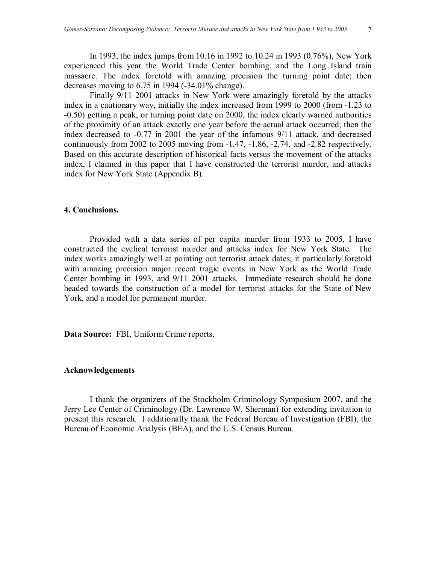In 1993, the index jumps from 10.16 in 1992 to 10.24 in 1993 (0.76%), New York experienced this year the World Trade Center bombing, and the Long Island train massacre. The index foretold with amazing precision the turning point date; then decreases moving to 6.75 in 1994 (-34.01% change).

Finally 9/11 2001 attacks in New York were amazingly foretold by the attacks index in a cautionary way, initially the index increased from 1999 to 2000 (from -1.23 to -0.50) getting a peak, or turning point date on 2000, the index clearly warned authorities of the proximity of an attack exactly one year before the actual attack occurred; then the index decreased to -0.77 in 2001 the year of the infamous 9/11 attack, and decreased continuously from 2002 to 2005 moving from -1.47, -1.86, -2.74, and -2.82 respectively. Based on this accurate description of historical facts versus the movement of the attacks index, I claimed in this paper that I have constructed the terrorist murder, and attacks index for New York State (Appendix B).

#### **4. Conclusions.**

 Provided with a data series of per capita murder from 1933 to 2005, I have constructed the cyclical terrorist murder and attacks index for New York State. The index works amazingly well at pointing out terrorist attack dates; it particularly foretold with amazing precision major recent tragic events in New York as the World Trade Center bombing in 1993, and 9/11 2001 attacks. Immediate research should be done headed towards the construction of a model for terrorist attacks for the State of New York, and a model for permanent murder.

**Data Source:** FBI, Uniform Crime reports.

#### **Acknowledgements**

I thank the organizers of the Stockholm Criminology Symposium 2007, and the Jerry Lee Center of Criminology (Dr. Lawrence W. Sherman) for extending invitation to present this research. I additionally thank the Federal Bureau of Investigation (FBI), the Bureau of Economic Analysis (BEA), and the U.S. Census Bureau.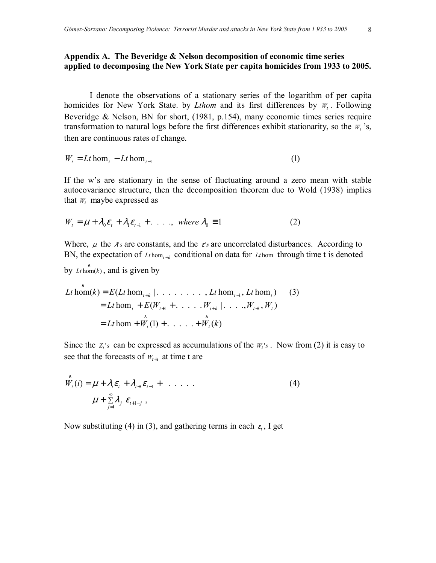## **Appendix A. The Beveridge & Nelson decomposition of economic time series applied to decomposing the New York State per capita homicides from 1933 to 2005.**

I denote the observations of a stationary series of the logarithm of per capita homicides for New York State. by *Lthom* and its first differences by *W<sup>t</sup>* . Following Beveridge & Nelson, BN for short, (1981, p.154), many economic times series require transformation to natural logs before the first differences exhibit stationarity, so the  $W_t$ 's, then are continuous rates of change.

$$
W_t = Lt \text{hom}_t - Lt \text{hom}_{t-1} \tag{1}
$$

If the w's are stationary in the sense of fluctuating around a zero mean with stable autocovariance structure, then the decomposition theorem due to Wold (1938) implies that  $W_t$  maybe expressed as

$$
W_t = \mu + \lambda_0 \varepsilon_t + \lambda_1 \varepsilon_{t-1} + \dots , \text{ where } \lambda_0 \equiv 1 \tag{2}
$$

Where,  $\mu$  the  $\lambda$ 's are constants, and the  $\varepsilon$ 's are uncorrelated disturbances. According to BN, the expectation of  $L_t$  hom<sub> $t$ +k</sub> conditional on data for  $L_t$  hom through time t is denoted

by  $Lt \hom(k)$ , and is given by

hom )1( ..... )( *Lt W W k t t* = + + + hom ( ..... .,...| , ) hom( ) ( hom ,........| hom , hom ) )3( 1 1 1 *Lt E W W W W Lt k E Lt Lt Lt t t kt t t kt t t* ∧ ∧ + + + + − ∧ = + + =

Since the  $z_i$ 's can be expressed as accumulations of the  $W_i$ 's. Now from (2) it is easy to see that the forecasts of  $W_{t+i}$  at time t are

$$
\hat{W}_t(i) = \mu + \lambda_i \varepsilon_t + \lambda_{i+1} \varepsilon_{t-1} + \dots \tag{4}
$$
\n
$$
\mu + \sum_{j=1}^{\infty} \lambda_j \varepsilon_{t+1-j},
$$

Now substituting (4) in (3), and gathering terms in each  $\varepsilon_t$ , I get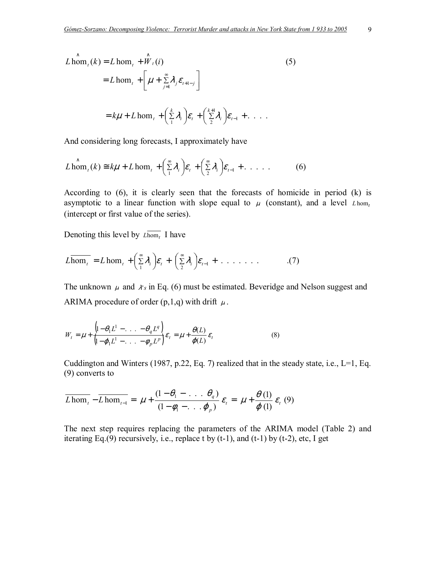$$
L \lim_{t} (\hat{k}) = L \lim_{t} + \hat{W}_{t}(i)
$$
\n
$$
= L \lim_{t} + \left[ \mu + \sum_{j=1}^{\infty} \lambda_{j} \varepsilon_{t+1-j} \right]
$$
\n
$$
= k\mu + L \lim_{t} + \left( \sum_{i=1}^{k} \lambda_{i} \right) \varepsilon_{t} + \left( \sum_{i=1}^{k+1} \lambda_{i} \right) \varepsilon_{t-1} + \dots
$$
\n(5)

And considering long forecasts, I approximately have

$$
L \operatorname{hom}_t(k) \cong k\mu + L \operatorname{hom}_t + \left(\sum_{i=1}^{\infty} \lambda_i\right) \varepsilon_t + \left(\sum_{i=2}^{\infty} \lambda_i\right) \varepsilon_{t-1} + \dots \tag{6}
$$

According to (6), it is clearly seen that the forecasts of homicide in period (k) is asymptotic to a linear function with slope equal to  $\mu$  (constant), and a level *Lhom* (intercept or first value of the series).

Denoting this level by  $L \overline{hom_t}$  I have

$$
\overline{L \text{hom}_{t}} = L \text{ hom}_{t} + \left(\sum_{1}^{\infty} \lambda_{i}\right) \varepsilon_{t} + \left(\sum_{2}^{\infty} \lambda_{i}\right) \varepsilon_{t-1} + \ldots \ldots \qquad (7)
$$

The unknown  $\mu$  and  $\lambda$ 's in Eq. (6) must be estimated. Beveridge and Nelson suggest and ARIMA procedure of order  $(p,1,q)$  with drift  $\mu$ .

$$
W_t = \mu + \frac{\left(1 - \theta_1 L^1 - \ldots - \theta_q L^q\right)}{\left(1 - \varphi_1 L^1 - \ldots - \varphi_p L^p\right)} \varepsilon_t = \mu + \frac{\theta(L)}{\varphi(L)} \varepsilon_t
$$
\n(8)

Cuddington and Winters (1987, p.22, Eq. 7) realized that in the steady state, i.e.,  $L=1$ , Eq. (9) converts to

$$
\overline{L \hom}_{t} - \overline{L \hom}_{t-1} = \mu + \frac{(1 - \theta_1 - \dots \theta_q)}{(1 - \phi_1 - \dots \phi_p)} \varepsilon_t = \mu + \frac{\theta(1)}{\varphi(1)} \varepsilon_t (9)
$$

The next step requires replacing the parameters of the ARIMA model (Table 2) and iterating Eq.(9) recursively, i.e., replace t by  $(t-1)$ , and  $(t-1)$  by  $(t-2)$ , etc, I get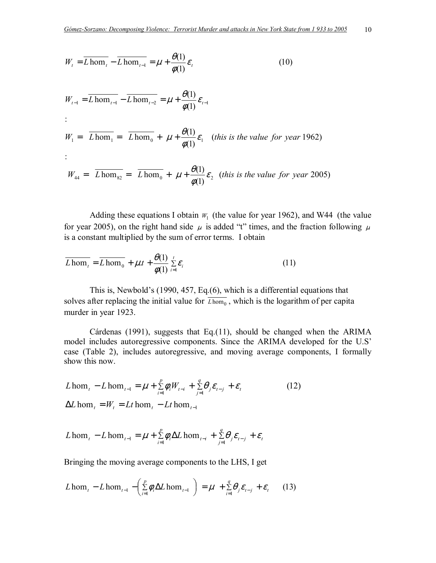$$
W_{t} = \overline{L \text{ hom}_{t}} - \overline{L \text{ hom}_{t-1}} = \mu + \frac{\theta(1)}{\phi(1)} \varepsilon_{t}
$$
(10)  

$$
W_{t-1} = \overline{L \text{ hom}_{t-1}} - \overline{L \text{ hom}_{t-2}} = \mu + \frac{\theta(1)}{\phi(1)} \varepsilon_{t-1}
$$
  

$$
W_{t} = \overline{L \text{ hom}_{t}} = \overline{L \text{ hom}_{0}} + \mu + \frac{\theta(1)}{\phi(1)} \varepsilon_{t}
$$
(this is the value for year 1962)  

$$
W_{44} = \overline{L \text{ hom}_{82}} = \overline{L \text{ hom}_{0}} + \mu + \frac{\theta(1)}{\phi(1)} \varepsilon_{2}
$$
(this is the value for year 2005)

Adding these equations I obtain  $W_1$  (the value for year 1962), and W44 (the value for year 2005), on the right hand side  $\mu$  is added "t" times, and the fraction following  $\mu$ is a constant multiplied by the sum of error terms. I obtain

$$
\overline{L \hom}_{t} = \overline{L \hom}_{0} + \mu t + \frac{\theta(1)}{\phi(1)} \sum_{i=1}^{t} \varepsilon_{i}
$$
 (11)

This is, Newbold's  $(1990, 457, Eq.(6))$ , which is a differential equations that solves after replacing the initial value for  $\overline{L \text{hom}_{0}}$ , which is the logarithm of per capita murder in year 1923.

Cárdenas (1991), suggests that Eq.(11), should be changed when the ARIMA model includes autoregressive components. Since the ARIMA developed for the U.S<sup>'</sup> case (Table 2), includes autoregressive, and moving average components, I formally show this now.

$$
L \text{hom}_{t} - L \text{hom}_{t-1} = \mu + \sum_{i=1}^{p} \phi_{i} W_{t-i} + \sum_{j=1}^{q} \theta_{j} \varepsilon_{t-j} + \varepsilon_{t}
$$
\n
$$
\Delta L \text{hom}_{t} = W_{t} = Lt \text{hom}_{t} - Lt \text{hom}_{t-1}
$$
\n(12)

$$
L \text{hom}_{t} - L \text{hom}_{t-1} = \mu + \sum_{i=1}^{p} \phi_{i} \Delta L \text{hom}_{t-i} + \sum_{j=1}^{q} \theta_{j} \varepsilon_{t-j} + \varepsilon_{t}
$$

Bringing the moving average components to the LHS, I get

$$
L \operatorname{hom}_{t} - L \operatorname{hom}_{t-1} - \left( \sum_{i=1}^{p} \phi_i \Delta L \operatorname{hom}_{t-1} \right) = \mu + \sum_{i=1}^{q} \theta_i \varepsilon_{t-j} + \varepsilon_t \tag{13}
$$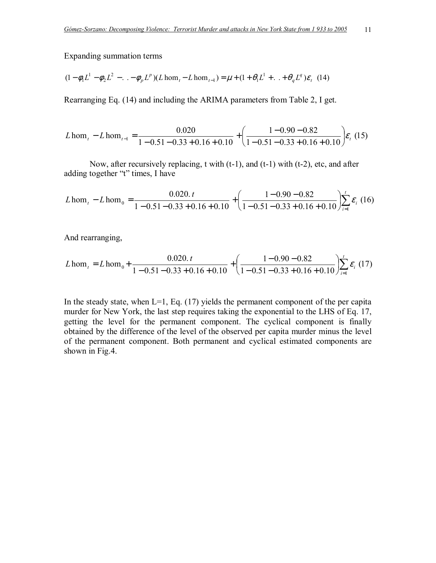Expanding summation terms

$$
(1 - \phi_1 L^1 - \phi_2 L^2 - \ldots - \phi_p L^p)(L \hom_t - L \hom_{t-1}) = \mu + (1 + \theta_1 L^1 + \ldots + \theta_q L^q) \varepsilon_t \tag{14}
$$

Rearranging Eq. (14) and including the ARIMA parameters from Table 2, I get.

$$
L \text{hom}_{t} - L \text{hom}_{t-1} = \frac{0.020}{1 - 0.51 - 0.33 + 0.16 + 0.10} + \left(\frac{1 - 0.90 - 0.82}{1 - 0.51 - 0.33 + 0.16 + 0.10}\right) \varepsilon_{t}
$$
(15)

Now, after recursively replacing, t with (t-1), and (t-1) with (t-2), etc, and after adding together "t" times, I have

$$
L \text{hom}_{t} - L \text{hom}_{0} = \frac{0.020 \text{.} \, t}{1 - 0.51 - 0.33 + 0.16 + 0.10} + \left(\frac{1 - 0.90 - 0.82}{1 - 0.51 - 0.33 + 0.16 + 0.10}\right) \sum_{i=1}^{t} \varepsilon_{i} \tag{16}
$$

And rearranging,

$$
L \text{hom}_{t} = L \text{hom}_{0} + \frac{0.020 \text{.} \, t}{1 - 0.51 - 0.33 + 0.16 + 0.10} + \left(\frac{1 - 0.90 - 0.82}{1 - 0.51 - 0.33 + 0.16 + 0.10}\right) \sum_{i=1}^{t} \varepsilon_{i} \tag{17}
$$

In the steady state, when  $L=1$ , Eq. (17) yields the permanent component of the per capita murder for New York, the last step requires taking the exponential to the LHS of Eq. 17, getting the level for the permanent component. The cyclical component is finally obtained by the difference of the level of the observed per capita murder minus the level of the permanent component. Both permanent and cyclical estimated components are shown in Fig.4.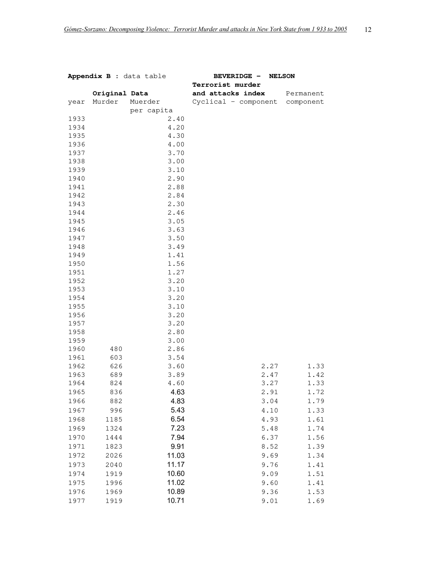| Appendix B : data table |               |              | <b>BEVERIDGE -</b><br><b>NELSON</b><br>Terrorist murder |           |  |
|-------------------------|---------------|--------------|---------------------------------------------------------|-----------|--|
|                         | Original Data |              | and attacks index                                       | Permanent |  |
| year                    | Murder        | Muerder      | Cyclical - component component                          |           |  |
|                         |               | per capita   |                                                         |           |  |
| 1933                    |               | 2.40         |                                                         |           |  |
| 1934                    |               | 4.20         |                                                         |           |  |
| 1935                    |               | 4.30         |                                                         |           |  |
| 1936                    |               | 4.00         |                                                         |           |  |
| 1937                    |               | 3.70         |                                                         |           |  |
| 1938                    |               | 3.00         |                                                         |           |  |
| 1939                    |               | 3.10         |                                                         |           |  |
| 1940                    |               | 2.90         |                                                         |           |  |
| 1941                    |               | 2.88         |                                                         |           |  |
| 1942                    |               | 2.84         |                                                         |           |  |
| 1943                    |               | 2.30         |                                                         |           |  |
| 1944                    |               | 2.46         |                                                         |           |  |
| 1945                    |               | 3.05         |                                                         |           |  |
| 1946                    |               | 3.63         |                                                         |           |  |
| 1947                    |               | 3.50         |                                                         |           |  |
| 1948                    |               | 3.49         |                                                         |           |  |
| 1949                    |               | 1.41         |                                                         |           |  |
| 1950                    |               | 1.56         |                                                         |           |  |
| 1951                    |               | 1.27         |                                                         |           |  |
| 1952                    |               | 3.20         |                                                         |           |  |
| 1953                    |               | 3.10         |                                                         |           |  |
| 1954                    |               | 3.20         |                                                         |           |  |
| 1955                    |               | 3.10<br>3.20 |                                                         |           |  |
| 1956<br>1957            |               | 3.20         |                                                         |           |  |
| 1958                    |               | 2.80         |                                                         |           |  |
| 1959                    |               | 3.00         |                                                         |           |  |
| 1960                    | 480           | 2.86         |                                                         |           |  |
| 1961                    | 603           | 3.54         |                                                         |           |  |
| 1962                    | 626           | 3.60         | 2.27                                                    | 1.33      |  |
| 1963                    | 689           | 3.89         | 2.47                                                    | 1.42      |  |
| 1964                    | 824           | 4.60         | 3.27                                                    | 1.33      |  |
| 1965                    | 836           | 4.63         | 2.91                                                    | 1.72      |  |
| 1966                    | 882           | 4.83         | 3.04                                                    | 1.79      |  |
| 1967                    | 996           | 5.43         | 4.10                                                    | 1.33      |  |
| 1968                    | 1185          | 6.54         | 4.93                                                    | 1.61      |  |
| 1969                    | 1324          | 7.23         | 5.48                                                    | 1.74      |  |
| 1970                    | 1444          | 7.94         | 6.37                                                    | 1.56      |  |
| 1971                    | 1823          | 9.91         | 8.52                                                    | 1.39      |  |
| 1972                    | 2026          | 11.03        | 9.69                                                    | 1.34      |  |
| 1973                    | 2040          | 11.17        | 9.76                                                    | 1.41      |  |
|                         |               | 10.60        | 9.09                                                    |           |  |
| 1974                    | 1919          |              |                                                         | 1.51      |  |
| 1975                    | 1996          | 11.02        | 9.60                                                    | 1.41      |  |
| 1976                    | 1969          | 10.89        | 9.36                                                    | 1.53      |  |
| 1977                    | 1919          | 10.71        | 9.01                                                    | 1.69      |  |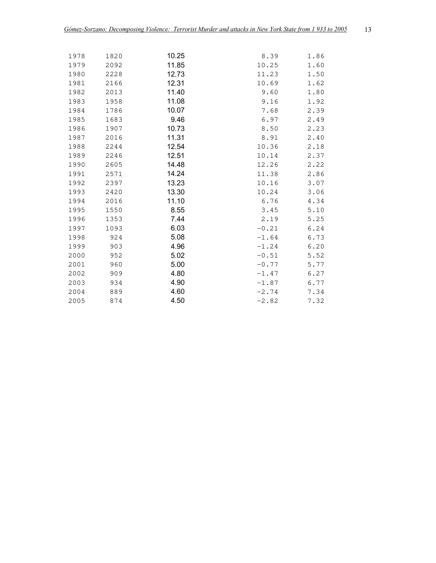| 1978 | 1820 | 10.25 | 8.39    | 1.86 |
|------|------|-------|---------|------|
| 1979 | 2092 | 11.85 | 10.25   | 1.60 |
| 1980 | 2228 | 12.73 | 11.23   | 1.50 |
| 1981 | 2166 | 12.31 | 10.69   | 1.62 |
| 1982 | 2013 | 11.40 | 9.60    | 1.80 |
| 1983 | 1958 | 11.08 | 9.16    | 1.92 |
| 1984 | 1786 | 10.07 | 7.68    | 2.39 |
| 1985 | 1683 | 9.46  | 6.97    | 2.49 |
| 1986 | 1907 | 10.73 | 8.50    | 2.23 |
| 1987 | 2016 | 11.31 | 8.91    | 2.40 |
| 1988 | 2244 | 12.54 | 10.36   | 2.18 |
| 1989 | 2246 | 12.51 | 10.14   | 2.37 |
| 1990 | 2605 | 14.48 | 12.26   | 2.22 |
| 1991 | 2571 | 14.24 | 11.38   | 2.86 |
| 1992 | 2397 | 13.23 | 10.16   | 3.07 |
| 1993 | 2420 | 13.30 | 10.24   | 3.06 |
| 1994 | 2016 | 11.10 | 6.76    | 4.34 |
| 1995 | 1550 | 8.55  | 3.45    | 5.10 |
| 1996 | 1353 | 7.44  | 2.19    | 5.25 |
| 1997 | 1093 | 6.03  | $-0.21$ | 6.24 |
| 1998 | 924  | 5.08  | $-1.64$ | 6.73 |
| 1999 | 903  | 4.96  | $-1.24$ | 6.20 |
| 2000 | 952  | 5.02  | $-0.51$ | 5.52 |
| 2001 | 960  | 5.00  | $-0.77$ | 5.77 |
| 2002 | 909  | 4.80  | $-1.47$ | 6.27 |
| 2003 | 934  | 4.90  | $-1.87$ | 6.77 |
| 2004 | 889  | 4.60  | $-2.74$ | 7.34 |
| 2005 | 874  | 4.50  | $-2.82$ | 7.32 |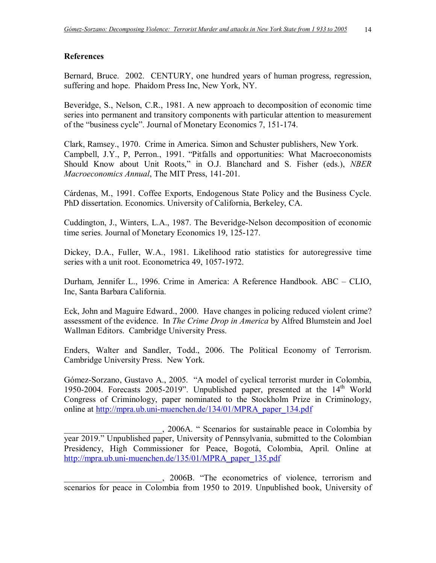## **References**

Bernard, Bruce. 2002. CENTURY, one hundred years of human progress, regression, suffering and hope. Phaidom Press Inc, New York, NY.

Beveridge, S., Nelson, C.R., 1981. A new approach to decomposition of economic time series into permanent and transitory components with particular attention to measurement of the "business cycle". Journal of Monetary Economics 7, 151-174.

Clark, Ramsey., 1970. Crime in America. Simon and Schuster publishers, New York. Campbell, J.Y., P, Perron., 1991. "Pitfalls and opportunities: What Macroeconomists Should Know about Unit Roots," in O.J. Blanchard and S. Fisher (eds.), *NBER Macroeconomics Annual*, The MIT Press, 141-201.

Cárdenas, M., 1991. Coffee Exports, Endogenous State Policy and the Business Cycle. PhD dissertation. Economics. University of California, Berkeley, CA.

Cuddington, J., Winters, L.A., 1987. The Beveridge-Nelson decomposition of economic time series. Journal of Monetary Economics 19, 125-127.

Dickey, D.A., Fuller, W.A., 1981. Likelihood ratio statistics for autoregressive time series with a unit root. Econometrica 49, 1057-1972.

Durham, Jennifer L., 1996. Crime in America: A Reference Handbook. ABC - CLIO, Inc, Santa Barbara California.

Eck, John and Maguire Edward., 2000. Have changes in policing reduced violent crime? assessment of the evidence. In *The Crime Drop in America* by Alfred Blumstein and Joel Wallman Editors. Cambridge University Press.

Enders, Walter and Sandler, Todd., 2006. The Political Economy of Terrorism. Cambridge University Press. New York.

Gómez-Sorzano, Gustavo A., 2005. "A model of cyclical terrorist murder in Colombia, 1950-2004. Forecasts 2005-2019". Unpublished paper, presented at the  $14<sup>th</sup>$  World Congress of Criminology, paper nominated to the Stockholm Prize in Criminology, online at http://mpra.ub.uni-muenchen.de/134/01/MPRA\_paper\_134.pdf

. 2006A. "Scenarios for sustainable peace in Colombia by year 2019." Unpublished paper, University of Pennsylvania, submitted to the Colombian Presidency, High Commissioner for Peace, Bogotá, Colombia, April. Online at http://mpra.ub.uni-muenchen.de/135/01/MPRA\_paper\_135.pdf

\_\_\_\_\_\_\_\_\_\_\_\_\_\_\_\_\_\_\_\_\_\_\_, 2006B. ìThe econometrics of violence, terrorism and scenarios for peace in Colombia from 1950 to 2019. Unpublished book, University of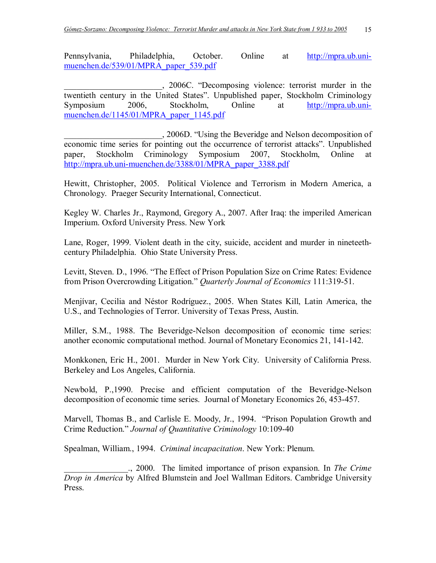Pennsylvania, Philadelphia, October. Online at http://mpra.ub.unimuenchen.de/539/01/MPRA\_paper\_539.pdf

\_\_\_\_\_\_\_\_\_\_\_\_\_\_\_\_\_\_\_\_\_\_\_, 2006C. ìDecomposing violence: terrorist murder in the twentieth century in the United States". Unpublished paper, Stockholm Criminology Symposium 2006, Stockholm, Online at http://mpra.ub.unimuenchen.de/1145/01/MPRA\_paper\_1145.pdf

\_\_\_\_\_\_\_\_\_\_\_\_\_\_\_\_\_\_\_\_\_\_\_, 2006D. ìUsing the Beveridge and Nelson decomposition of economic time series for pointing out the occurrence of terrorist attacks". Unpublished paper, Stockholm Criminology Symposium 2007, Stockholm, Online at http://mpra.ub.uni-muenchen.de/3388/01/MPRA\_paper\_3388.pdf

Hewitt, Christopher, 2005. Political Violence and Terrorism in Modern America, a Chronology. Praeger Security International, Connecticut.

Kegley W. Charles Jr., Raymond, Gregory A., 2007. After Iraq: the imperiled American Imperium. Oxford University Press. New York

Lane, Roger, 1999. Violent death in the city, suicide, accident and murder in nineteethcentury Philadelphia. Ohio State University Press.

Levitt, Steven. D., 1996. "The Effect of Prison Population Size on Crime Rates: Evidence from Prison Overcrowding Litigation." *Quarterly Journal of Economics* 111:319-51.

Menjívar, Cecilia and Néstor Rodríguez., 2005. When States Kill, Latin America, the U.S., and Technologies of Terror. University of Texas Press, Austin.

Miller, S.M., 1988. The Beveridge-Nelson decomposition of economic time series: another economic computational method. Journal of Monetary Economics 21, 141-142.

Monkkonen, Eric H., 2001. Murder in New York City. University of California Press. Berkeley and Los Angeles, California.

Newbold, P.,1990. Precise and efficient computation of the Beveridge-Nelson decomposition of economic time series. Journal of Monetary Economics 26, 453-457.

Marvell, Thomas B., and Carlisle E. Moody, Jr., 1994. *"Prison Population Growth and* Crime Reduction.î *Journal of Quantitative Criminology* 10:109-40

Spealman, William., 1994. *Criminal incapacitation*. New York: Plenum.

\_\_\_\_\_\_\_\_\_\_\_\_\_\_\_., 2000. The limited importance of prison expansion. In *The Crime Drop in America* by Alfred Blumstein and Joel Wallman Editors. Cambridge University Press.